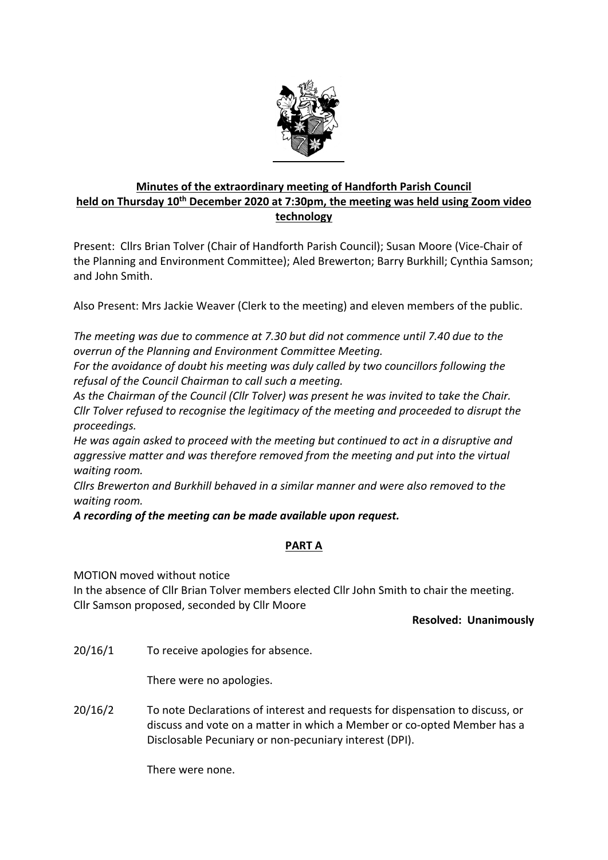

# **Minutes of the extraordinary meeting of Handforth Parish Council held on Thursday 10th December 2020 at 7:30pm, the meeting was held using Zoom video technology**

Present: Cllrs Brian Tolver (Chair of Handforth Parish Council); Susan Moore (Vice‐Chair of the Planning and Environment Committee); Aled Brewerton; Barry Burkhill; Cynthia Samson; and John Smith.

Also Present: Mrs Jackie Weaver (Clerk to the meeting) and eleven members of the public.

*The meeting was due to commence at 7.30 but did not commence until 7.40 due to the overrun of the Planning and Environment Committee Meeting.*

*For the avoidance of doubt his meeting was duly called by two councillors following the refusal of the Council Chairman to call such a meeting.* 

*As the Chairman of the Council (Cllr Tolver) was present he was invited to take the Chair. Cllr Tolver refused to recognise the legitimacy of the meeting and proceeded to disrupt the proceedings.* 

*He was again asked to proceed with the meeting but continued to act in a disruptive and aggressive matter and was therefore removed from the meeting and put into the virtual waiting room.*

*Cllrs Brewerton and Burkhill behaved in a similar manner and were also removed to the waiting room.*

*A recording of the meeting can be made available upon request.*

# **PART A**

MOTION moved without notice

In the absence of Cllr Brian Tolver members elected Cllr John Smith to chair the meeting. Cllr Samson proposed, seconded by Cllr Moore

### **Resolved: Unanimously**

20/16/1 To receive apologies for absence.

There were no apologies.

20/16/2 To note Declarations of interest and requests for dispensation to discuss, or discuss and vote on a matter in which a Member or co‐opted Member has a Disclosable Pecuniary or non‐pecuniary interest (DPI).

There were none.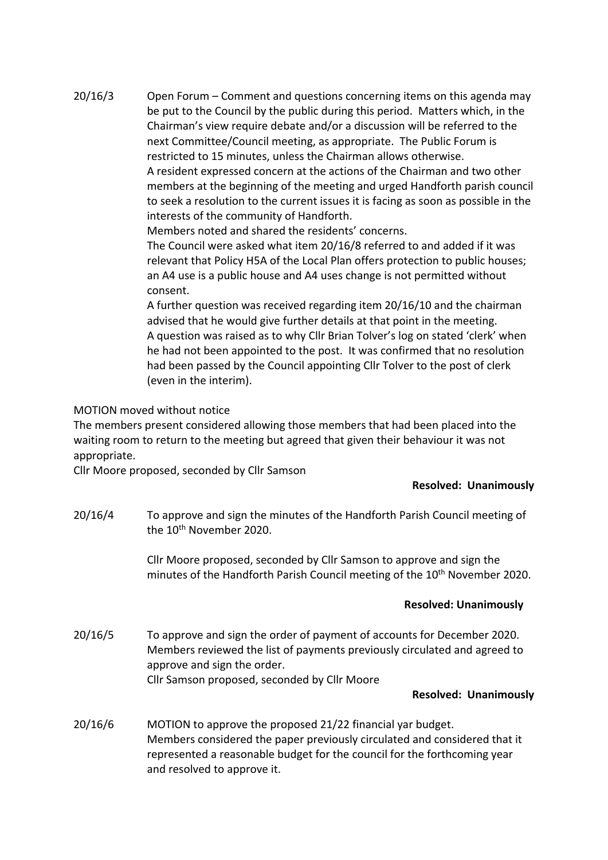20/16/3 Open Forum – Comment and questions concerning items on this agenda may be put to the Council by the public during this period. Matters which, in the Chairman's view require debate and/or a discussion will be referred to the next Committee/Council meeting, as appropriate. The Public Forum is restricted to 15 minutes, unless the Chairman allows otherwise. A resident expressed concern at the actions of the Chairman and two other members at the beginning of the meeting and urged Handforth parish council to seek a resolution to the current issues it is facing as soon as possible in the interests of the community of Handforth.

Members noted and shared the residents' concerns.

The Council were asked what item 20/16/8 referred to and added if it was relevant that Policy H5A of the Local Plan offers protection to public houses; an A4 use is a public house and A4 uses change is not permitted without consent.

A further question was received regarding item 20/16/10 and the chairman advised that he would give further details at that point in the meeting. A question was raised as to why Cllr Brian Tolver's log on stated 'clerk' when he had not been appointed to the post. It was confirmed that no resolution had been passed by the Council appointing Cllr Tolver to the post of clerk (even in the interim).

### MOTION moved without notice

The members present considered allowing those members that had been placed into the waiting room to return to the meeting but agreed that given their behaviour it was not appropriate.

Cllr Moore proposed, seconded by Cllr Samson

### **Resolved: Unanimously**

20/16/4 To approve and sign the minutes of the Handforth Parish Council meeting of the 10<sup>th</sup> November 2020.

> Cllr Moore proposed, seconded by Cllr Samson to approve and sign the minutes of the Handforth Parish Council meeting of the 10<sup>th</sup> November 2020.

### **Resolved: Unanimously**

20/16/5 To approve and sign the order of payment of accounts for December 2020. Members reviewed the list of payments previously circulated and agreed to approve and sign the order. Cllr Samson proposed, seconded by Cllr Moore

### **Resolved: Unanimously**

20/16/6 MOTION to approve the proposed 21/22 financial yar budget. Members considered the paper previously circulated and considered that it represented a reasonable budget for the council for the forthcoming year and resolved to approve it.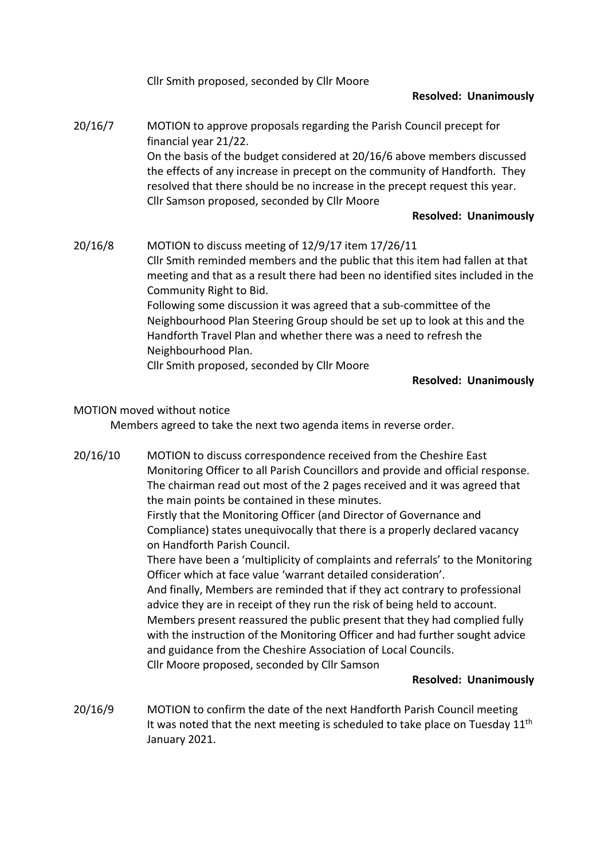|         | Cllr Smith proposed, seconded by Cllr Moore                                                                                                                                                                                                                                                                                                                                                                                                                                                                                                      |
|---------|--------------------------------------------------------------------------------------------------------------------------------------------------------------------------------------------------------------------------------------------------------------------------------------------------------------------------------------------------------------------------------------------------------------------------------------------------------------------------------------------------------------------------------------------------|
|         | <b>Resolved: Unanimously</b>                                                                                                                                                                                                                                                                                                                                                                                                                                                                                                                     |
| 20/16/7 | MOTION to approve proposals regarding the Parish Council precept for<br>financial year 21/22.<br>On the basis of the budget considered at 20/16/6 above members discussed<br>the effects of any increase in precept on the community of Handforth. They<br>resolved that there should be no increase in the precept request this year.<br>Cllr Samson proposed, seconded by Cllr Moore                                                                                                                                                           |
|         | <b>Resolved: Unanimously</b>                                                                                                                                                                                                                                                                                                                                                                                                                                                                                                                     |
| 20/16/8 | MOTION to discuss meeting of 12/9/17 item 17/26/11<br>Cllr Smith reminded members and the public that this item had fallen at that<br>meeting and that as a result there had been no identified sites included in the<br>Community Right to Bid.<br>Following some discussion it was agreed that a sub-committee of the<br>Neighbourhood Plan Steering Group should be set up to look at this and the<br>Handforth Travel Plan and whether there was a need to refresh the<br>Neighbourhood Plan.<br>Cllr Smith proposed, seconded by Cllr Moore |
|         | <b>Resolved: Unanimously</b>                                                                                                                                                                                                                                                                                                                                                                                                                                                                                                                     |

## MOTION moved without notice

Members agreed to take the next two agenda items in reverse order.

20/16/10 MOTION to discuss correspondence received from the Cheshire East Monitoring Officer to all Parish Councillors and provide and official response. The chairman read out most of the 2 pages received and it was agreed that the main points be contained in these minutes. Firstly that the Monitoring Officer (and Director of Governance and

Compliance) states unequivocally that there is a properly declared vacancy on Handforth Parish Council.

There have been a 'multiplicity of complaints and referrals' to the Monitoring Officer which at face value 'warrant detailed consideration'.

And finally, Members are reminded that if they act contrary to professional advice they are in receipt of they run the risk of being held to account. Members present reassured the public present that they had complied fully with the instruction of the Monitoring Officer and had further sought advice and guidance from the Cheshire Association of Local Councils. Cllr Moore proposed, seconded by Cllr Samson

### **Resolved: Unanimously**

20/16/9 MOTION to confirm the date of the next Handforth Parish Council meeting It was noted that the next meeting is scheduled to take place on Tuesday 11<sup>th</sup> January 2021.